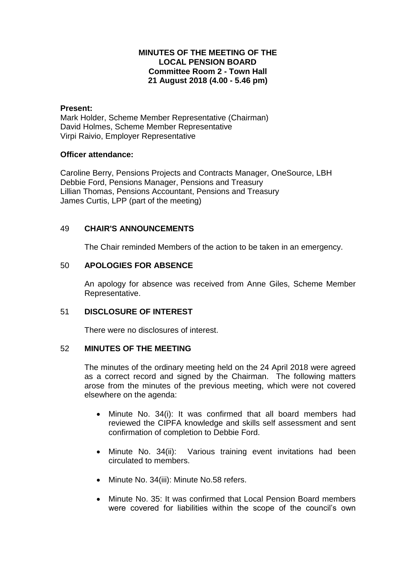# **MINUTES OF THE MEETING OF THE LOCAL PENSION BOARD Committee Room 2 - Town Hall 21 August 2018 (4.00 - 5.46 pm)**

#### **Present:**

Mark Holder, Scheme Member Representative (Chairman) David Holmes, Scheme Member Representative Virpi Raivio, Employer Representative

## **Officer attendance:**

Caroline Berry, Pensions Projects and Contracts Manager, OneSource, LBH Debbie Ford, Pensions Manager, Pensions and Treasury Lillian Thomas, Pensions Accountant, Pensions and Treasury James Curtis, LPP (part of the meeting)

# 49 **CHAIR'S ANNOUNCEMENTS**

The Chair reminded Members of the action to be taken in an emergency.

## 50 **APOLOGIES FOR ABSENCE**

An apology for absence was received from Anne Giles, Scheme Member Representative.

#### 51 **DISCLOSURE OF INTEREST**

There were no disclosures of interest.

## 52 **MINUTES OF THE MEETING**

The minutes of the ordinary meeting held on the 24 April 2018 were agreed as a correct record and signed by the Chairman. The following matters arose from the minutes of the previous meeting, which were not covered elsewhere on the agenda:

- Minute No. 34(i): It was confirmed that all board members had reviewed the CIPFA knowledge and skills self assessment and sent confirmation of completion to Debbie Ford.
- Minute No. 34(ii): Various training event invitations had been circulated to members.
- Minute No. 34(iii): Minute No.58 refers.
- Minute No. 35: It was confirmed that Local Pension Board members were covered for liabilities within the scope of the council's own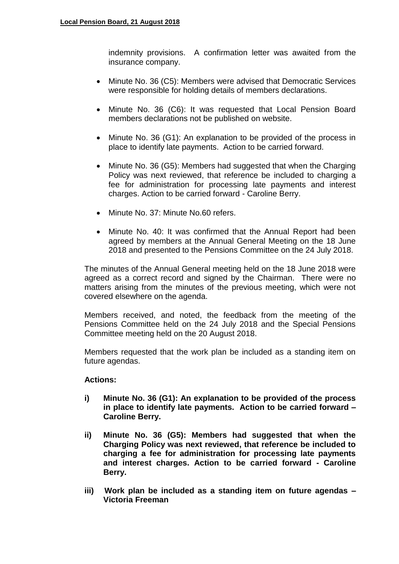indemnity provisions. A confirmation letter was awaited from the insurance company.

- Minute No. 36 (C5): Members were advised that Democratic Services were responsible for holding details of members declarations.
- Minute No. 36 (C6): It was requested that Local Pension Board members declarations not be published on website.
- Minute No. 36 (G1): An explanation to be provided of the process in place to identify late payments. Action to be carried forward.
- Minute No. 36 (G5): Members had suggested that when the Charging Policy was next reviewed, that reference be included to charging a fee for administration for processing late payments and interest charges. Action to be carried forward - Caroline Berry.
- Minute No. 37: Minute No. 60 refers.
- Minute No. 40: It was confirmed that the Annual Report had been agreed by members at the Annual General Meeting on the 18 June 2018 and presented to the Pensions Committee on the 24 July 2018.

The minutes of the Annual General meeting held on the 18 June 2018 were agreed as a correct record and signed by the Chairman. There were no matters arising from the minutes of the previous meeting, which were not covered elsewhere on the agenda.

Members received, and noted, the feedback from the meeting of the Pensions Committee held on the 24 July 2018 and the Special Pensions Committee meeting held on the 20 August 2018.

Members requested that the work plan be included as a standing item on future agendas.

# **Actions:**

- **i) Minute No. 36 (G1): An explanation to be provided of the process in place to identify late payments. Action to be carried forward – Caroline Berry.**
- **ii) Minute No. 36 (G5): Members had suggested that when the Charging Policy was next reviewed, that reference be included to charging a fee for administration for processing late payments and interest charges. Action to be carried forward - Caroline Berry.**
- **iii) Work plan be included as a standing item on future agendas – Victoria Freeman**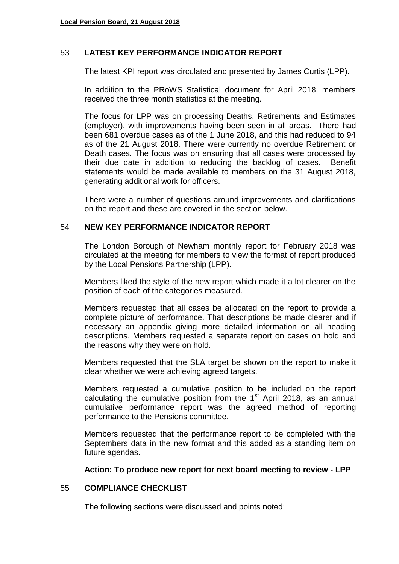## 53 **LATEST KEY PERFORMANCE INDICATOR REPORT**

The latest KPI report was circulated and presented by James Curtis (LPP).

In addition to the PRoWS Statistical document for April 2018, members received the three month statistics at the meeting.

The focus for LPP was on processing Deaths, Retirements and Estimates (employer), with improvements having been seen in all areas. There had been 681 overdue cases as of the 1 June 2018, and this had reduced to 94 as of the 21 August 2018. There were currently no overdue Retirement or Death cases. The focus was on ensuring that all cases were processed by their due date in addition to reducing the backlog of cases. Benefit statements would be made available to members on the 31 August 2018, generating additional work for officers.

There were a number of questions around improvements and clarifications on the report and these are covered in the section below.

#### 54 **NEW KEY PERFORMANCE INDICATOR REPORT**

The London Borough of Newham monthly report for February 2018 was circulated at the meeting for members to view the format of report produced by the Local Pensions Partnership (LPP).

Members liked the style of the new report which made it a lot clearer on the position of each of the categories measured.

Members requested that all cases be allocated on the report to provide a complete picture of performance. That descriptions be made clearer and if necessary an appendix giving more detailed information on all heading descriptions. Members requested a separate report on cases on hold and the reasons why they were on hold.

Members requested that the SLA target be shown on the report to make it clear whether we were achieving agreed targets.

Members requested a cumulative position to be included on the report calculating the cumulative position from the  $1<sup>st</sup>$  April 2018, as an annual cumulative performance report was the agreed method of reporting performance to the Pensions committee.

Members requested that the performance report to be completed with the Septembers data in the new format and this added as a standing item on future agendas.

#### **Action: To produce new report for next board meeting to review - LPP**

# 55 **COMPLIANCE CHECKLIST**

The following sections were discussed and points noted: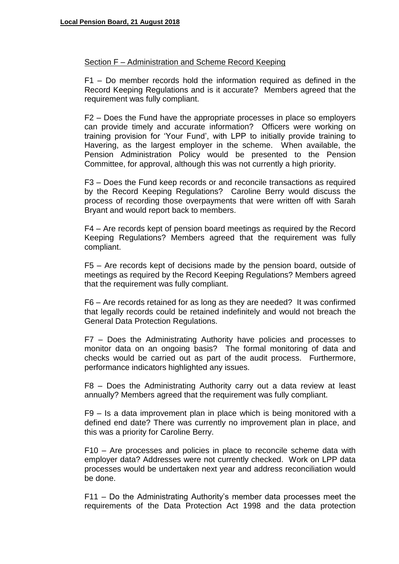#### Section F – Administration and Scheme Record Keeping

F1 – Do member records hold the information required as defined in the Record Keeping Regulations and is it accurate? Members agreed that the requirement was fully compliant.

F2 – Does the Fund have the appropriate processes in place so employers can provide timely and accurate information? Officers were working on training provision for 'Your Fund', with LPP to initially provide training to Havering, as the largest employer in the scheme. When available, the Pension Administration Policy would be presented to the Pension Committee, for approval, although this was not currently a high priority.

F3 – Does the Fund keep records or and reconcile transactions as required by the Record Keeping Regulations? Caroline Berry would discuss the process of recording those overpayments that were written off with Sarah Bryant and would report back to members.

F4 – Are records kept of pension board meetings as required by the Record Keeping Regulations? Members agreed that the requirement was fully compliant.

F5 – Are records kept of decisions made by the pension board, outside of meetings as required by the Record Keeping Regulations? Members agreed that the requirement was fully compliant.

F6 – Are records retained for as long as they are needed? It was confirmed that legally records could be retained indefinitely and would not breach the General Data Protection Regulations.

F7 – Does the Administrating Authority have policies and processes to monitor data on an ongoing basis? The formal monitoring of data and checks would be carried out as part of the audit process. Furthermore, performance indicators highlighted any issues.

F8 – Does the Administrating Authority carry out a data review at least annually? Members agreed that the requirement was fully compliant.

F9 – Is a data improvement plan in place which is being monitored with a defined end date? There was currently no improvement plan in place, and this was a priority for Caroline Berry.

F10 – Are processes and policies in place to reconcile scheme data with employer data? Addresses were not currently checked. Work on LPP data processes would be undertaken next year and address reconciliation would be done.

F11 – Do the Administrating Authority's member data processes meet the requirements of the Data Protection Act 1998 and the data protection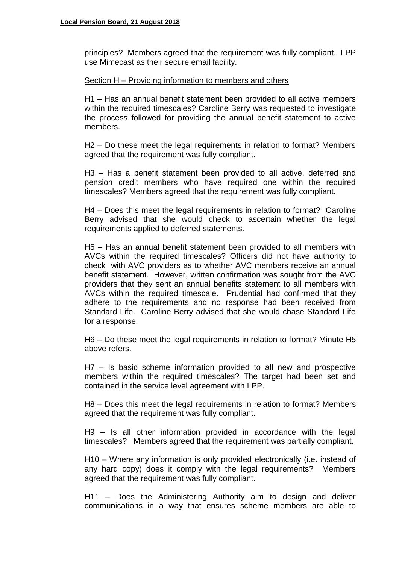principles? Members agreed that the requirement was fully compliant. LPP use Mimecast as their secure email facility.

#### Section H – Providing information to members and others

H1 – Has an annual benefit statement been provided to all active members within the required timescales? Caroline Berry was requested to investigate the process followed for providing the annual benefit statement to active members.

H2 – Do these meet the legal requirements in relation to format? Members agreed that the requirement was fully compliant.

H3 – Has a benefit statement been provided to all active, deferred and pension credit members who have required one within the required timescales? Members agreed that the requirement was fully compliant.

H4 – Does this meet the legal requirements in relation to format? Caroline Berry advised that she would check to ascertain whether the legal requirements applied to deferred statements.

H5 – Has an annual benefit statement been provided to all members with AVCs within the required timescales? Officers did not have authority to check with AVC providers as to whether AVC members receive an annual benefit statement. However, written confirmation was sought from the AVC providers that they sent an annual benefits statement to all members with AVCs within the required timescale. Prudential had confirmed that they adhere to the requirements and no response had been received from Standard Life. Caroline Berry advised that she would chase Standard Life for a response.

H6 – Do these meet the legal requirements in relation to format? Minute H5 above refers.

H7 – Is basic scheme information provided to all new and prospective members within the required timescales? The target had been set and contained in the service level agreement with LPP.

H8 – Does this meet the legal requirements in relation to format? Members agreed that the requirement was fully compliant.

H9 – Is all other information provided in accordance with the legal timescales? Members agreed that the requirement was partially compliant.

H10 – Where any information is only provided electronically (i.e. instead of any hard copy) does it comply with the legal requirements? Members agreed that the requirement was fully compliant.

H11 – Does the Administering Authority aim to design and deliver communications in a way that ensures scheme members are able to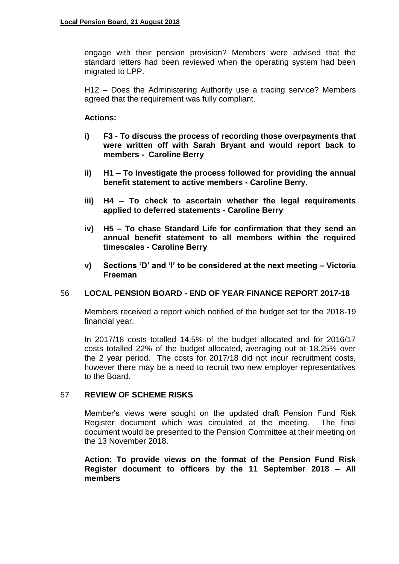engage with their pension provision? Members were advised that the standard letters had been reviewed when the operating system had been migrated to LPP.

H12 – Does the Administering Authority use a tracing service? Members agreed that the requirement was fully compliant.

# **Actions:**

- **i) F3 - To discuss the process of recording those overpayments that were written off with Sarah Bryant and would report back to members - Caroline Berry**
- **ii) H1 – To investigate the process followed for providing the annual benefit statement to active members - Caroline Berry.**
- **iii) H4 – To check to ascertain whether the legal requirements applied to deferred statements - Caroline Berry**
- **iv) H5 – To chase Standard Life for confirmation that they send an annual benefit statement to all members within the required timescales - Caroline Berry**
- **v) Sections 'D' and 'I' to be considered at the next meeting – Victoria Freeman**

# 56 **LOCAL PENSION BOARD - END OF YEAR FINANCE REPORT 2017-18**

Members received a report which notified of the budget set for the 2018-19 financial year.

In 2017/18 costs totalled 14.5% of the budget allocated and for 2016/17 costs totalled 22% of the budget allocated, averaging out at 18.25% over the 2 year period. The costs for 2017/18 did not incur recruitment costs, however there may be a need to recruit two new employer representatives to the Board.

# 57 **REVIEW OF SCHEME RISKS**

Member's views were sought on the updated draft Pension Fund Risk Register document which was circulated at the meeting. The final document would be presented to the Pension Committee at their meeting on the 13 November 2018.

**Action: To provide views on the format of the Pension Fund Risk Register document to officers by the 11 September 2018 – All members**